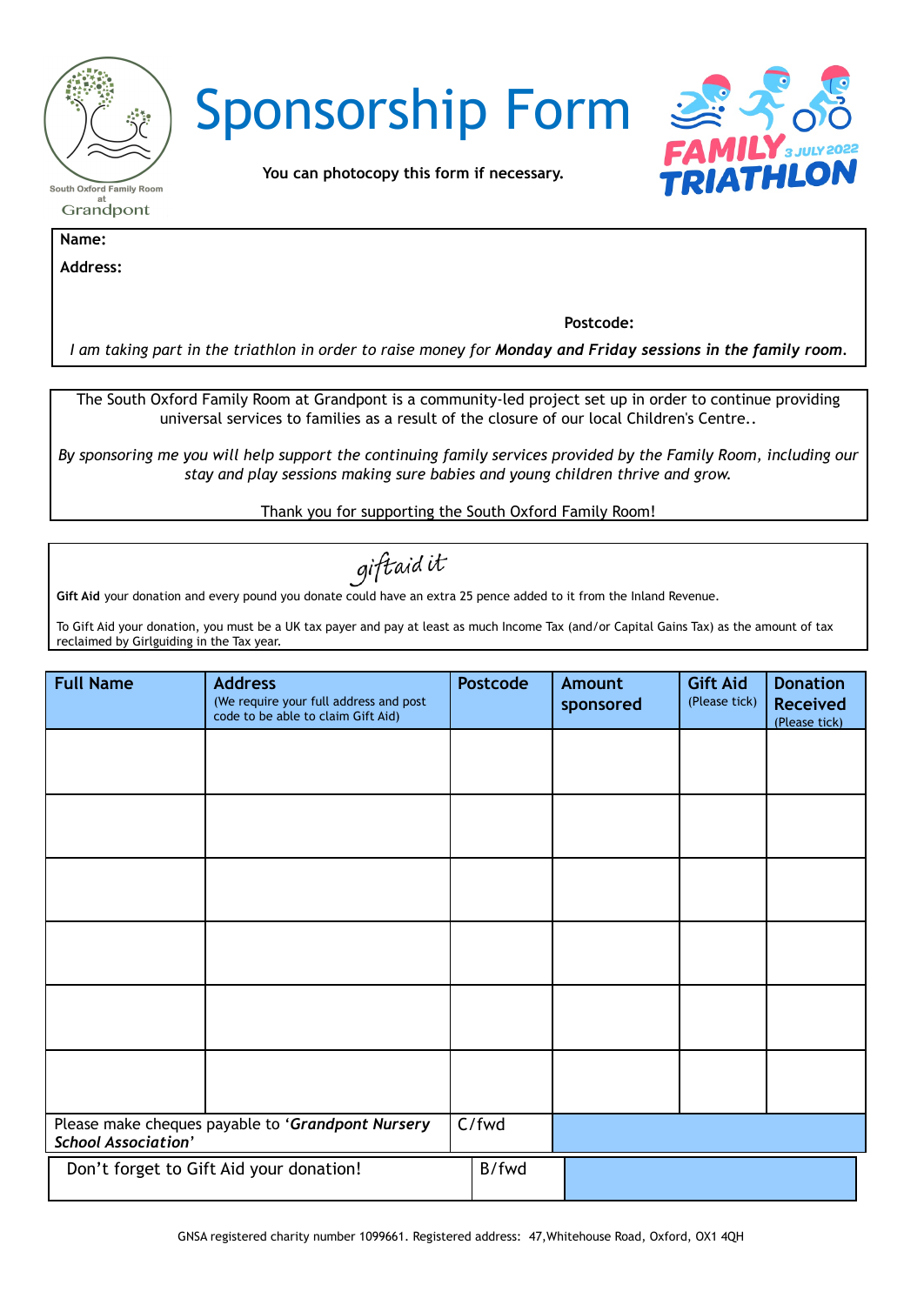| <b>South Oxford Family Room</b> |
|---------------------------------|
| at<br>Grandpont                 |
|                                 |





**You can photocopy this form if necessary.**

**Name:**

**Address:**

**Postcode:**

I am taking part in the triathlon in order to raise money for Monday and Friday sessions in the family room.

The South Oxford Family Room at Grandpont is a community-led project set up in order to continue providing universal services to families as a result of the closure of our local Children's Centre..

By sponsoring me you will help support the continuing family services provided by the Family Room, including our *stay and play sessions making sure babies and young children thrive and grow.*

Thank you for supporting the South Oxford Family Room!

giftaidit

**Gift Aid** your donation and every pound you donate could have an extra 25 pence added to it from the Inland Revenue.

To Gift Aid your donation, you must be a UK tax payer and pay at least as much Income Tax (and/or Capital Gains Tax) as the amount of tax reclaimed by Girlguiding in the Tax year.

| <b>Full Name</b>                                                                | <b>Address</b><br>(We require your full address and post<br>code to be able to claim Gift Aid) | <b>Postcode</b> | <b>Amount</b><br>sponsored | <b>Gift Aid</b><br>(Please tick) | <b>Donation</b><br><b>Received</b><br>(Please tick) |
|---------------------------------------------------------------------------------|------------------------------------------------------------------------------------------------|-----------------|----------------------------|----------------------------------|-----------------------------------------------------|
|                                                                                 |                                                                                                |                 |                            |                                  |                                                     |
|                                                                                 |                                                                                                |                 |                            |                                  |                                                     |
|                                                                                 |                                                                                                |                 |                            |                                  |                                                     |
|                                                                                 |                                                                                                |                 |                            |                                  |                                                     |
|                                                                                 |                                                                                                |                 |                            |                                  |                                                     |
|                                                                                 |                                                                                                |                 |                            |                                  |                                                     |
| Please make cheques payable to 'Grandpont Nursery<br><b>School Association'</b> |                                                                                                | C/fwd           |                            |                                  |                                                     |
| Don't forget to Gift Aid your donation!                                         |                                                                                                | B/fwd           |                            |                                  |                                                     |